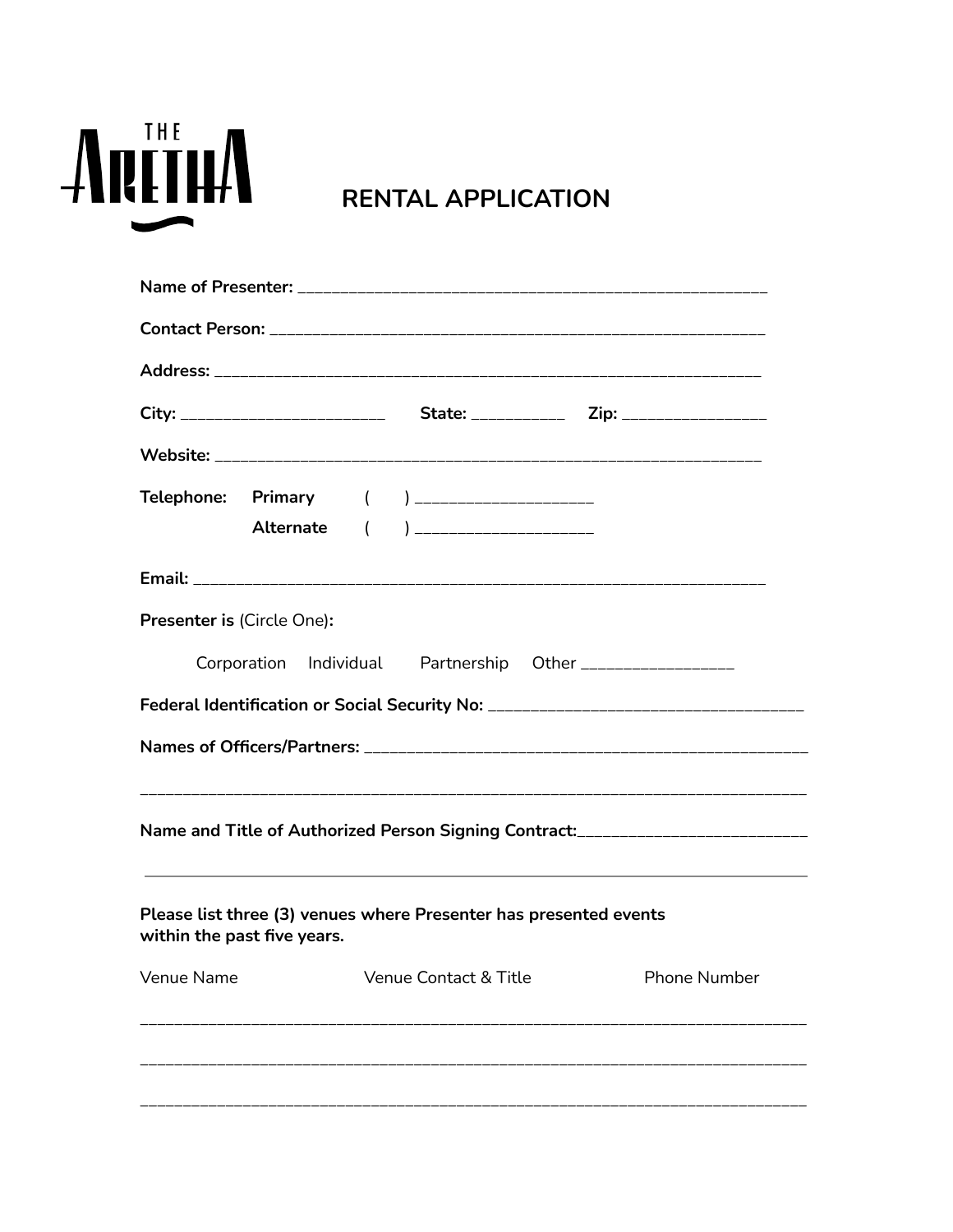

## **RENTAL APPLICATION**

| Telephone: Primary ( ) ____________________<br>Alternate ( ) ____________________                                                                                                                         |  |  |
|-----------------------------------------------------------------------------------------------------------------------------------------------------------------------------------------------------------|--|--|
|                                                                                                                                                                                                           |  |  |
| Presenter is (Circle One):<br>Corporation Individual Partnership Other _________________                                                                                                                  |  |  |
| Federal Identification or Social Security No: __________________________________                                                                                                                          |  |  |
|                                                                                                                                                                                                           |  |  |
| Name and Title of Authorized Person Signing Contract:___________________________<br><u> 1989 - Johann Stoff, deutscher Stoff, der Stoff, der Stoff, der Stoff, der Stoff, der Stoff, der Stoff, der S</u> |  |  |
| Please list three (3) venues where Presenter has presented events<br>within the past five years.                                                                                                          |  |  |
| Venue Name Venue Contact & Title Phone Number                                                                                                                                                             |  |  |
|                                                                                                                                                                                                           |  |  |
|                                                                                                                                                                                                           |  |  |
|                                                                                                                                                                                                           |  |  |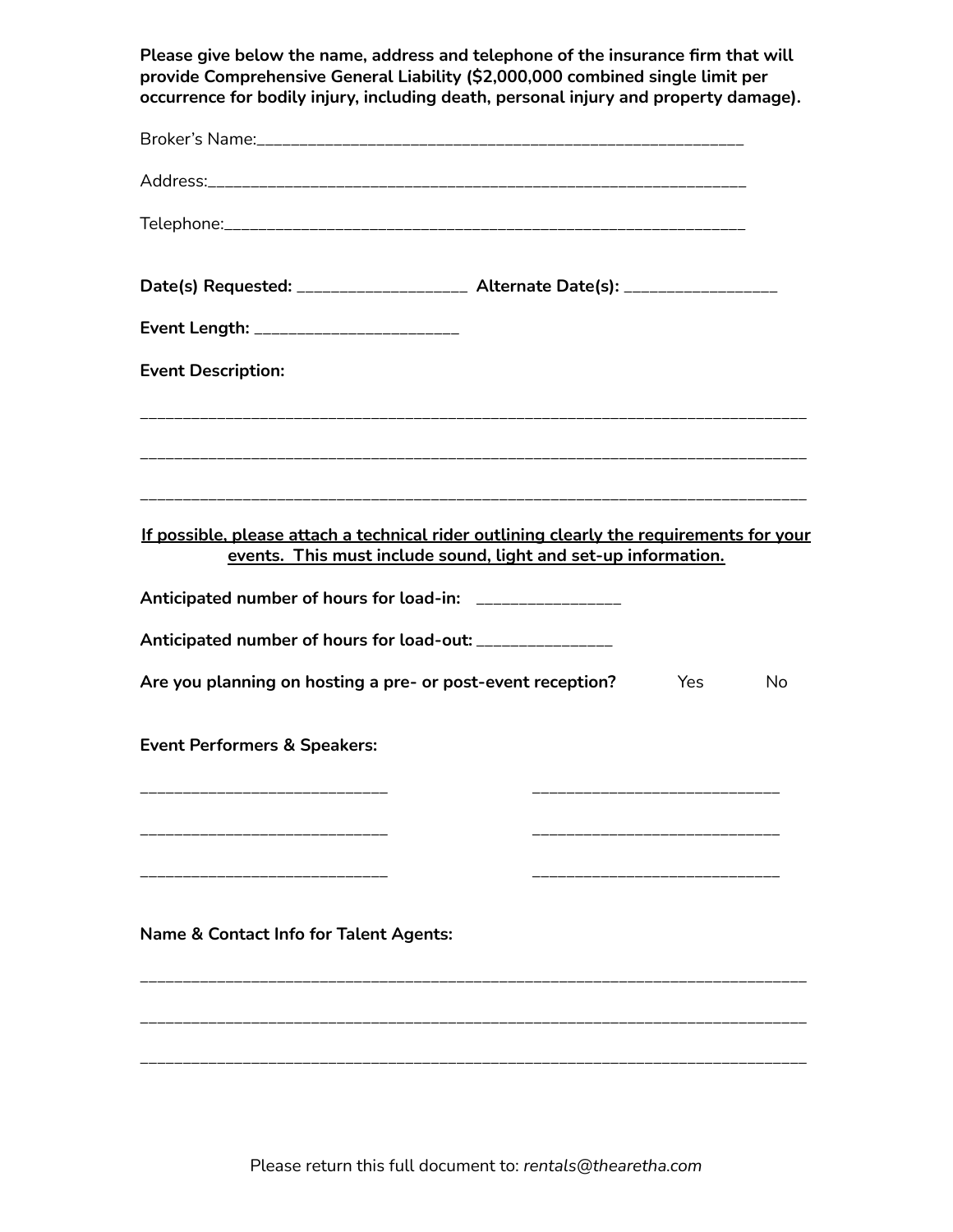| Please give below the name, address and telephone of the insurance firm that will<br>provide Comprehensive General Liability (\$2,000,000 combined single limit per<br>occurrence for bodily injury, including death, personal injury and property damage). |     |    |
|-------------------------------------------------------------------------------------------------------------------------------------------------------------------------------------------------------------------------------------------------------------|-----|----|
|                                                                                                                                                                                                                                                             |     |    |
|                                                                                                                                                                                                                                                             |     |    |
|                                                                                                                                                                                                                                                             |     |    |
| Date(s) Requested: ____________________ Alternate Date(s): ____________________                                                                                                                                                                             |     |    |
| Event Length: _________________________                                                                                                                                                                                                                     |     |    |
| <b>Event Description:</b>                                                                                                                                                                                                                                   |     |    |
|                                                                                                                                                                                                                                                             |     |    |
| If possible, please attach a technical rider outlining clearly the requirements for your<br>events. This must include sound, light and set-up information.                                                                                                  |     |    |
| Anticipated number of hours for load-in: _________________                                                                                                                                                                                                  |     |    |
| Anticipated number of hours for load-out: ________________                                                                                                                                                                                                  |     |    |
| Are you planning on hosting a pre- or post-event reception?                                                                                                                                                                                                 | Yes | No |
| <b>Event Performers &amp; Speakers:</b>                                                                                                                                                                                                                     |     |    |
|                                                                                                                                                                                                                                                             |     |    |
| <b>Name &amp; Contact Info for Talent Agents:</b>                                                                                                                                                                                                           |     |    |
|                                                                                                                                                                                                                                                             |     |    |

Please return this full document to: *rentals@thearetha.com*